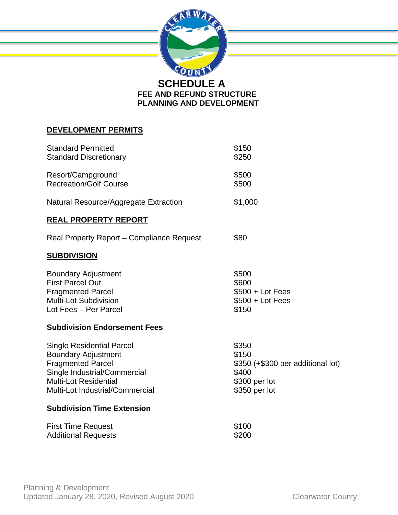

# **DEVELOPMENT PERMITS**

| <b>Standard Permitted</b><br><b>Standard Discretionary</b>                                                                                                                                    | \$150<br>\$250                                                                                 |
|-----------------------------------------------------------------------------------------------------------------------------------------------------------------------------------------------|------------------------------------------------------------------------------------------------|
| Resort/Campground<br><b>Recreation/Golf Course</b>                                                                                                                                            | \$500<br>\$500                                                                                 |
| Natural Resource/Aggregate Extraction                                                                                                                                                         | \$1,000                                                                                        |
| <b>REAL PROPERTY REPORT</b>                                                                                                                                                                   |                                                                                                |
| Real Property Report – Compliance Request                                                                                                                                                     | \$80                                                                                           |
| <b>SUBDIVISION</b>                                                                                                                                                                            |                                                                                                |
| <b>Boundary Adjustment</b><br><b>First Parcel Out</b><br><b>Fragmented Parcel</b><br><b>Multi-Lot Subdivision</b><br>Lot Fees - Per Parcel                                                    | \$500<br>\$600<br>$$500 + Lot Fees$<br>$$500 + Lot Fees$<br>\$150                              |
| <b>Subdivision Endorsement Fees</b>                                                                                                                                                           |                                                                                                |
| <b>Single Residential Parcel</b><br><b>Boundary Adjustment</b><br><b>Fragmented Parcel</b><br>Single Industrial/Commercial<br><b>Multi-Lot Residential</b><br>Multi-Lot Industrial/Commercial | \$350<br>\$150<br>\$350 (+\$300 per additional lot)<br>\$400<br>\$300 per lot<br>\$350 per lot |
| <b>Subdivision Time Extension</b>                                                                                                                                                             |                                                                                                |
| <b>First Time Request</b><br><b>Additional Requests</b>                                                                                                                                       | \$100<br>\$200                                                                                 |